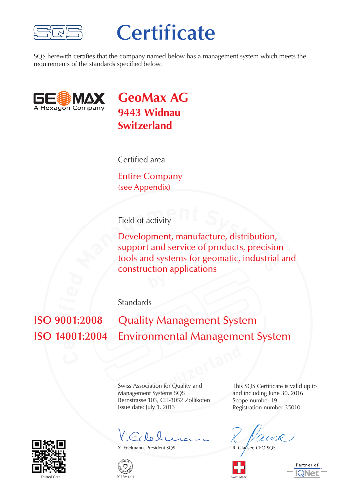

## **Certificate**

SQS herewith certifies that the company named below has a management system which meets the requirements of the standards specified below.



**GeoMax AG 9443 Widnau Switzerland**

Certified area

Entire Company (see Appendix)

Field of activity

**Field of activity**<br> **Development, manufacture, distribution,<br>
support and service of products, precisio<br>
tools and systems for geomatic, industrial<br>
construction applications** Development, manufacture, distribution, support and service of products, precision tools and systems for geomatic, industrial and construction applications

**Standards** 

**e**  $\overline{100}$  $\mathbf{u}$ **i Quality Management System Environmental Management System** 

**Switzerland**<br> **Switzerland**<br> **Switzerland**<br> **Switzerland**<br> **Switzerland**<br> **Switzerland**<br> **Switzerland**<br> **Switzerland**<br> **Switzerland**<br> **Switzerland**<br> **Switzerland**<br> **Switzerland**<br> **Switzerland**<br> **Switzerland**<br> **Switzerland** Swiss Association for Quality and Management Systems SQS Bernstrasse 103, CH-3052 Zollikofen Issue date: July 1, 2013

V. Goleli

X. Edelmann, President SQS



This SQS Certificate is valid up to and including June 30, 2016 Scope number 19 Registration number 35010

R. Glauser, CEO SOS